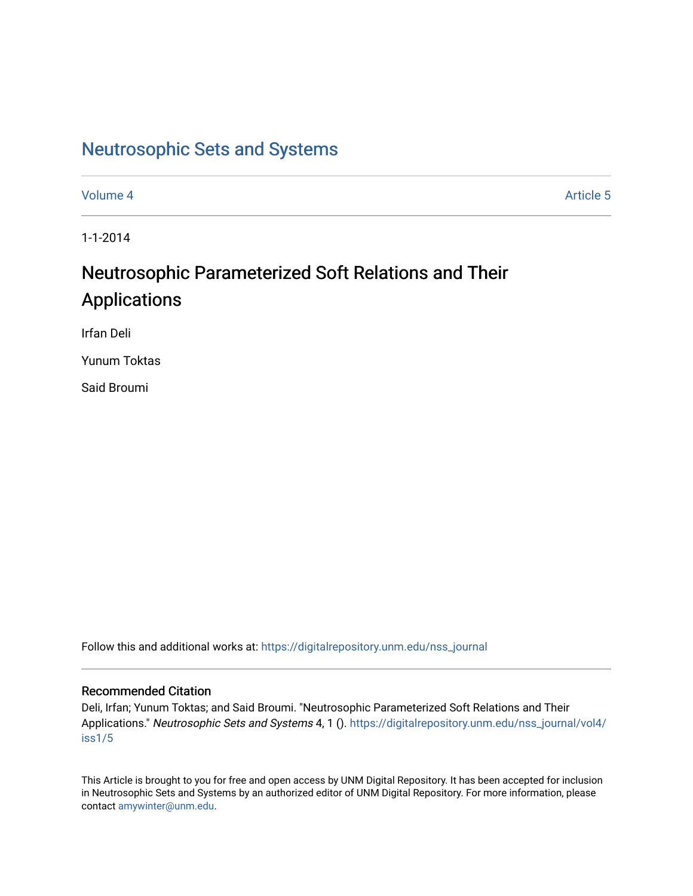# [Neutrosophic Sets and Systems](https://digitalrepository.unm.edu/nss_journal)

[Volume 4](https://digitalrepository.unm.edu/nss_journal/vol4) Article 5

1-1-2014

# Neutrosophic Parameterized Soft Relations and Their Applications

Irfan Deli

Yunum Toktas

Said Broumi

Follow this and additional works at: [https://digitalrepository.unm.edu/nss\\_journal](https://digitalrepository.unm.edu/nss_journal?utm_source=digitalrepository.unm.edu%2Fnss_journal%2Fvol4%2Fiss1%2F5&utm_medium=PDF&utm_campaign=PDFCoverPages) 

## Recommended Citation

Deli, Irfan; Yunum Toktas; and Said Broumi. "Neutrosophic Parameterized Soft Relations and Their Applications." Neutrosophic Sets and Systems 4, 1 (). [https://digitalrepository.unm.edu/nss\\_journal/vol4/](https://digitalrepository.unm.edu/nss_journal/vol4/iss1/5?utm_source=digitalrepository.unm.edu%2Fnss_journal%2Fvol4%2Fiss1%2F5&utm_medium=PDF&utm_campaign=PDFCoverPages) [iss1/5](https://digitalrepository.unm.edu/nss_journal/vol4/iss1/5?utm_source=digitalrepository.unm.edu%2Fnss_journal%2Fvol4%2Fiss1%2F5&utm_medium=PDF&utm_campaign=PDFCoverPages)

This Article is brought to you for free and open access by UNM Digital Repository. It has been accepted for inclusion in Neutrosophic Sets and Systems by an authorized editor of UNM Digital Repository. For more information, please contact [amywinter@unm.edu](mailto:amywinter@unm.edu).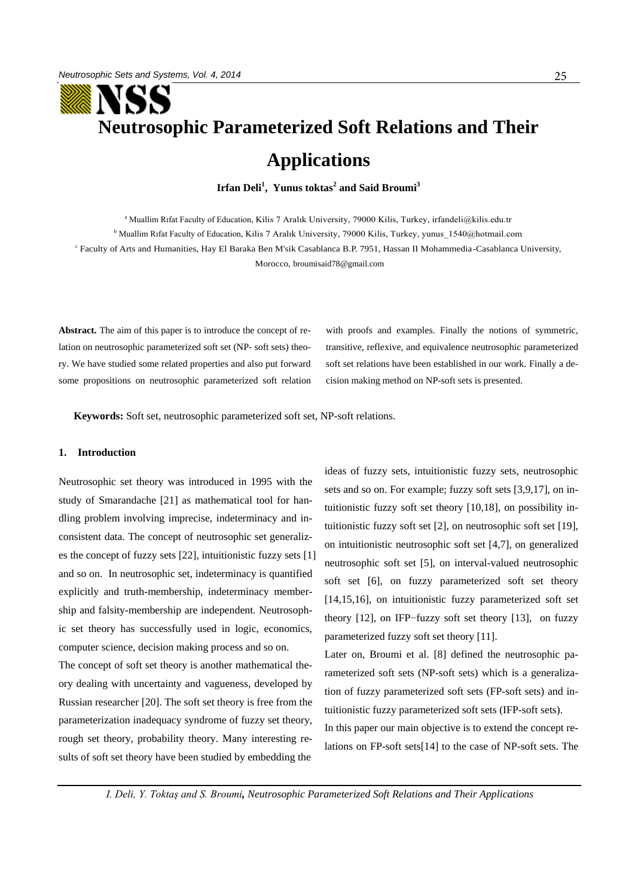# **Neutrosophic Parameterized Soft Relations and Their**

# **Applications**

**Irfan Deli<sup>1</sup> , Yunus toktas<sup>2</sup> and Said Broumi<sup>3</sup>**

<sup>a</sup> Muallim Rıfat Faculty of Education, Kilis 7 Aralık University, 79000 Kilis, Turkey, irfandeli@kilis.edu.tr

<sup>b</sup> Muallim Rıfat Faculty of Education, Kilis 7 Aralık University, 79000 Kilis, Turkey, yunus 1540@hotmail.com

c Faculty of Arts and Humanities, Hay El Baraka Ben M'sik Casablanca B.P. 7951, Hassan II Mohammedia-Casablanca University, Morocco, [broumisaid78@gmail.com](mailto:1broumisaid78@gmail.com)

**Abstract.** The aim of this paper is to introduce the concept of relation on neutrosophic parameterized soft set (NP- soft sets) theory. We have studied some related properties and also put forward some propositions on neutrosophic parameterized soft relation with proofs and examples. Finally the notions of symmetric, transitive, reflexive, and equivalence neutrosophic parameterized soft set relations have been established in our work. Finally a decision making method on NP-soft sets is presented.

**Keywords:** Soft set, neutrosophic parameterized soft set, NP-soft relations.

## **1. Introduction**

Neutrosophic set theory was introduced in 1995 with the study of Smarandache [21] as mathematical tool for handling problem involving imprecise, indeterminacy and inconsistent data. The concept of neutrosophic set generalizes the concept of fuzzy sets [22], intuitionistic fuzzy sets [1] and so on. In neutrosophic set, indeterminacy is quantified explicitly and truth-membership, indeterminacy membership and falsity-membership are independent. Neutrosophic set theory has successfully used in logic, economics, computer science, decision making process and so on.

The concept of soft set theory is another mathematical theory dealing with uncertainty and vagueness, developed by Russian researcher [20]. The soft set theory is free from the parameterization inadequacy syndrome of fuzzy set theory, rough set theory, probability theory. Many interesting results of soft set theory have been studied by embedding the

ideas of fuzzy sets, intuitionistic fuzzy sets, neutrosophic sets and so on. For example; fuzzy soft sets [3,9,17], on intuitionistic fuzzy soft set theory [10,18], on possibility intuitionistic fuzzy soft set [2], on neutrosophic soft set [19], on intuitionistic neutrosophic soft set [4,7], on generalized neutrosophic soft set [5], on interval-valued neutrosophic soft set [6], on fuzzy parameterized soft set theory [14,15,16], on intuitionistic fuzzy parameterized soft set theory [12], on IFP−fuzzy soft set theory [13], on fuzzy parameterized fuzzy soft set theory [11].

Later on, Broumi et al. [8] defined the neutrosophic parameterized soft sets (NP-soft sets) which is a generalization of fuzzy parameterized soft sets (FP-soft sets) and intuitionistic fuzzy parameterized soft sets (IFP-soft sets).

In this paper our main objective is to extend the concept relations on FP-soft sets[14] to the case of NP-soft sets. The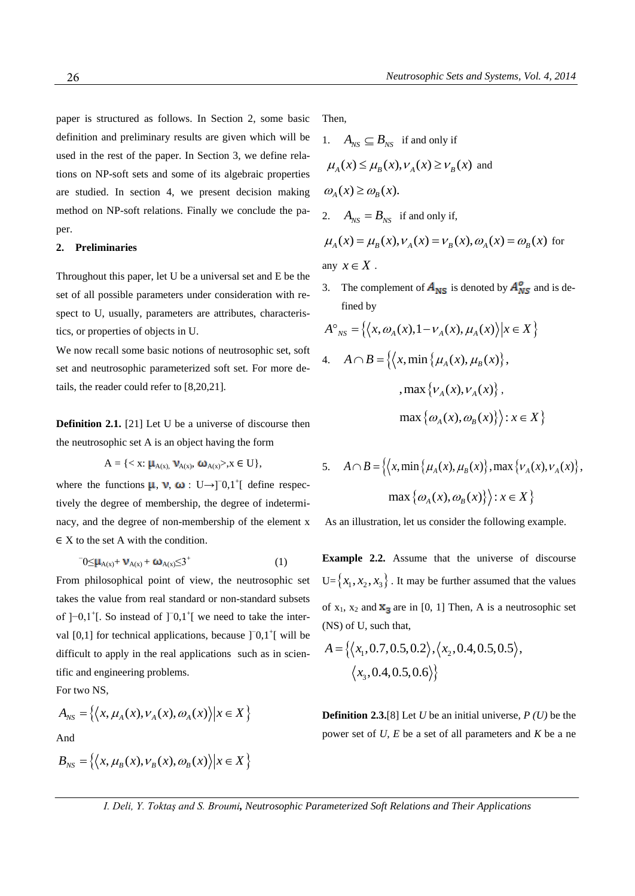paper is structured as follows. In Section 2, some basic definition and preliminary results are given which will be used in the rest of the paper. In Section 3, we define relations on NP-soft sets and some of its algebraic properties are studied. In section 4, we present decision making method on NP-soft relations. Finally we conclude the paper.

#### **2. Preliminaries**

Throughout this paper, let U be a universal set and E be the set of all possible parameters under consideration with respect to U, usually, parameters are attributes, characteristics, or properties of objects in U.

We now recall some basic notions of neutrosophic set, soft set and neutrosophic parameterized soft set. For more details, the reader could refer to [8,20,21].

**Definition 2.1.** [21] Let U be a universe of discourse then the neutrosophic set A is an object having the form

$$
A = \{ \langle x: \mu_{A(x)}, \nu_{A(x)}, \omega_{A(x)} \rangle, x \in U \},
$$

where the functions  $\mu$ ,  $\nu$ ,  $\omega$  : U→]<sup>-</sup>0,1<sup>+</sup>[ define respectively the degree of membership, the degree of indeterminacy, and the degree of non-membership of the element x  $\in$  X to the set A with the condition.

$$
{}^{\mathsf{-}}0{\leq}\mu_{A(x)}+\mathbf{V}_{A(x)}+\boldsymbol{\omega}_{A(x)}{\leq}3^{+} \tag{1}
$$

From philosophical point of view, the neutrosophic set takes the value from real standard or non-standard subsets of  $]-0,1^+[$ . So instead of  $]$ <sup>-</sup>0,1<sup>+</sup>[ we need to take the interval  $[0,1]$  for technical applications, because  $]$ <sup>-</sup> $[0,1]$ <sup>+</sup> $[$  will be difficult to apply in the real applications such as in scientific and engineering problems.

For two NS,

For two NS,  
\n
$$
A_{NS} = \{ \langle x, \mu_A(x), \nu_A(x), \omega_A(x) \rangle | x \in X \}
$$
\nAnd

$$
B_{NS} = \{ \langle x, \mu_B(x), \nu_B(x), \omega_B(x) \rangle | x \in X \}
$$

Then,

\n- 1. 
$$
A_{NS} \subseteq B_{NS}
$$
 if and only if  $\mu_A(x) \leq \mu_B(x), \nu_A(x) \geq \nu_B(x)$  and  $\omega_A(x) \geq \omega_B(x)$ .
\n- 2.  $A_{NS} = B_{NS}$  if and only if,  $\mu_A(x) = \mu_B(x), \nu_A(x) = \nu_B(x), \omega_A(x) = \omega_B(x)$  for
\n

any  $x \in X$ .

3. The complement of  $A_{\text{NS}}$  is denoted by  $A_{\text{NS}}^{\circ}$  and is defined by

find by  
\n
$$
A^{\circ}_{NS} = \{ \langle x, \omega_A(x), 1 - \nu_A(x), \mu_A(x) \rangle | x \in X \}
$$
\n4. 
$$
A \cap B = \{ \langle x, \min \{ \mu_A(x), \mu_B(x) \}, \dots, \max \{ \nu_A(x), \nu_A(x) \}, \dots \}
$$
\n
$$
\max \{ \omega_A(x), \omega_B(x) \} \rangle : x \in X \}
$$

5. 
$$
A \cap B = \{ \langle x, \min \{ \mu_A(x), \mu_B(x) \}, \max \{ \nu_A(x), \nu_A(x) \}, \max \{ \omega_A(x), \omega_B(x) \} \rangle : x \in X \}
$$

As an illustration, let us consider the following example.

**Example 2.2.** Assume that the universe of discourse  $U = \{x_1, x_2, x_3\}$ . It may be further assumed that the values of  $x_1$ ,  $x_2$  and  $x_3$  are in [0, 1] Then, A is a neutrosophic set

(NS) of U, such that,  
\n
$$
A = \{ \langle x_1, 0.7, 0.5, 0.2 \rangle, \langle x_2, 0.4, 0.5, 0.5 \rangle, \langle x_3, 0.4, 0.5, 0.6 \rangle \}
$$

**Definition 2.3.**[8] Let *U* be an initial universe, *P (U)* be the power set of *U, E* be a set of all parameters and *K* be a ne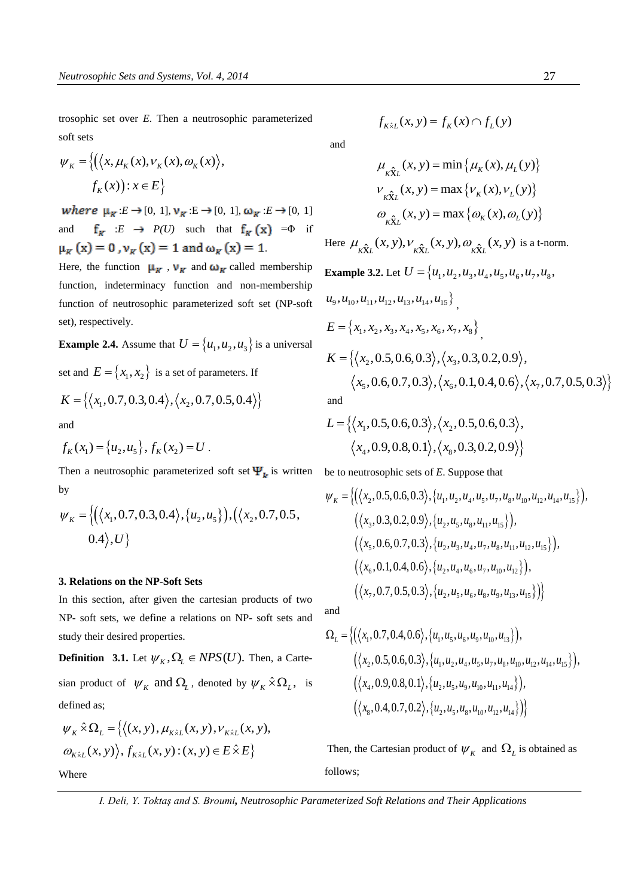trosophic set over *E*. Then a neutrosophic parameterized soft sets

$$
\psi_K = \left\{ \left( \left\langle x, \mu_K(x), \nu_K(x), \omega_K(x) \right\rangle, \\ f_K(x) \right) : x \in E \right\}
$$

*where*  $\mu_{\kappa}: E \to [0, 1], \nu_{\kappa}: E \to [0, 1], \omega_{\kappa}: E \to [0, 1]$ and  $f_K : E \to P(U)$  such that  $f_K(x) = \Phi$  if  $\mu_K(x) = 0$ ,  $\nu_K(x) = 1$  and  $\omega_K(x) = 1$ .

Here, the function  $\mu_{K}$ ,  $\nu_{K}$  and  $\omega_{K}$  called membership function, indeterminacy function and non-membership function of neutrosophic parameterized soft set (NP-soft set), respectively.

**Example 2.4.** Assume that  $U = \{u_1, u_2, u_3\}$  is a universal

set and  $E = \{x_1, x_2\}$  is a set of parameters. If

$$
K = \{ \langle x_1, 0.7, 0.3, 0.4 \rangle, \langle x_2, 0.7, 0.5, 0.4 \rangle \}
$$

and

Where

and  

$$
f_K(x_1) = \{u_2, u_5\}, f_K(x_2) = U
$$
.

Then a neutrosophic parameterized soft set  $\Psi_k$  is written be to neutrosophic sets of *E*. Suppose that <br>by  $\psi_K = \{ (\langle x_2, 0.5, 0.6, 0.3 \rangle, \{u_1, u_2, u_4, u_5, u_7, u_8, u_{10}, u_{12}, u_{14}, u_{15} \} ),$ by

by  
\n
$$
\psi_K = \{ (\langle x_1, 0.7, 0.3, 0.4 \rangle, \{u_2, u_5\}), (\langle x_2, 0.7, 0.5, 0.4 \rangle, U \}
$$

#### **3. Relations on the NP-Soft Sets**

In this section, after given the cartesian products of two NP- soft sets, we define a relations on NP- soft sets and study their desired properties.

**Definition** 3.1. Let  $\psi_K$ ,  $\Omega_L \in NPS(U)$ . Then, a Cartesian product of  $\psi_K$  and  $\Omega_L$ , denoted by  $\psi_K \hat{\times} \Omega_L$ , is defined as;

determined as;  
\n
$$
\psi_K \hat{\times} \Omega_L = \{ \langle (x, y), \mu_{K\hat{\times}L}(x, y), \nu_{K\hat{\times}L}(x, y), \omega_{K\hat{\times}L}(x, y) \rangle, f_{K\hat{\times}L}(x, y) : (x, y) \in E \hat{\times} E \}
$$

$$
f_{K\hat{\times}L}(x, y) = f_K(x) \cap f_L(y)
$$
 and

$$
\mu_{K\hat{\mathbf{X}}_L}(x, y) = \min \{ \mu_K(x), \mu_L(y) \}
$$

$$
\nu_{K\hat{\mathbf{X}}_L}(x, y) = \max \{ \nu_K(x), \nu_L(y) \}
$$

$$
\omega_{K\hat{\mathbf{X}}_L}(x, y) = \max \{ \omega_K(x), \omega_L(y) \}
$$

Here  $\mu_{K\hat{\mathbf{X}}_L}(x, y), \nu_{K\hat{\mathbf{X}}_L}(x, y), \omega_{K\hat{\mathbf{X}}_L}(x, y)$  is a t-norm. **Example 3.2.** Let  $U = \{u_1, u_2, u_3, u_4, u_5, u_6, u_7, u_8, u_9, u_1, u_2, u_4, u_5, u_6, u_7, u_8, u_9, u_1, u_2, u_3, u_4, u_5, u_6, u_7, u_8, u_9, u_1, u_2, u_3, u_4, u_5, u_6, u_7, u_8, u_9, u_1, u_2, u_3, u_4, u_5, u_6, u_7, u_8, u_9, u_1, u_2, u_3, u_4, u_5, u$ 

$$
u_9, u_{10}, u_{11}, u_{12}, u_{13}, u_{14}, u_{15}\}
$$
\n
$$
E = \{x_1, x_2, x_3, x_4, x_5, x_6, x_7, x_8\}
$$
\n
$$
K = \{\langle x_2, 0.5, 0.6, 0.3 \rangle, \langle x_3, 0.3, 0.2, 0.9 \rangle, \langle x_5, 0.6, 0.7, 0.3 \rangle, \langle x_6, 0.1, 0.4, 0.6 \rangle, \langle x_7, 0.7, 0.5, 0.3 \rangle\}
$$

and

and  
\n
$$
L = \{ \langle x_1, 0.5, 0.6, 0.3 \rangle, \langle x_2, 0.5, 0.6, 0.3 \rangle, \langle x_4, 0.9, 0.8, 0.1 \rangle, \langle x_8, 0.3, 0.2, 0.9 \rangle \}
$$

$$
\psi_{K} = \left\{ \left( \langle x_{2}, 0.5, 0.6, 0.3 \rangle, \{u_{1}, u_{2}, u_{4}, u_{5}, u_{7}, u_{8}, u_{10}, u_{12}, u_{14}, u_{15} \} \right), \left( \langle x_{3}, 0.3, 0.2, 0.9 \rangle, \{u_{2}, u_{5}, u_{8}, u_{11}, u_{15} \} \right), \left( \langle x_{5}, 0.6, 0.7, 0.3 \rangle, \{u_{2}, u_{3}, u_{4}, u_{7}, u_{8}, u_{11}, u_{12}, u_{15} \} \right), \left( \langle x_{6}, 0.1, 0.4, 0.6 \rangle, \{u_{2}, u_{4}, u_{6}, u_{7}, u_{10}, u_{12} \} \right), \left( \langle x_{7}, 0.7, 0.5, 0.3 \rangle, \{u_{2}, u_{5}, u_{6}, u_{8}, u_{9}, u_{13}, u_{15} \} \right) \right\}
$$

and

and  
\n
$$
\Omega_L = \left\{ \left( \langle x_1, 0.7, 0.4, 0.6 \rangle, \{u_1, u_5, u_6, u_9, u_{10}, u_{13} \} \right), \left( \langle x_2, 0.5, 0.6, 0.3 \rangle, \{u_1, u_2, u_4, u_5, u_7, u_8, u_{10}, u_{12}, u_{14}, u_{15} \} \right), \left( \langle x_4, 0.9, 0.8, 0.1 \rangle, \{u_2, u_5, u_9, u_{10}, u_{11}, u_{14} \} \right), \left( \langle x_8, 0.4, 0.7, 0.2 \rangle, \{u_2, u_5, u_8, u_{10}, u_{12}, u_{14} \} \right) \right\}
$$

Then, the Cartesian product of  $\psi_{K}$  and  $\Omega_{L}$  is obtained as follows;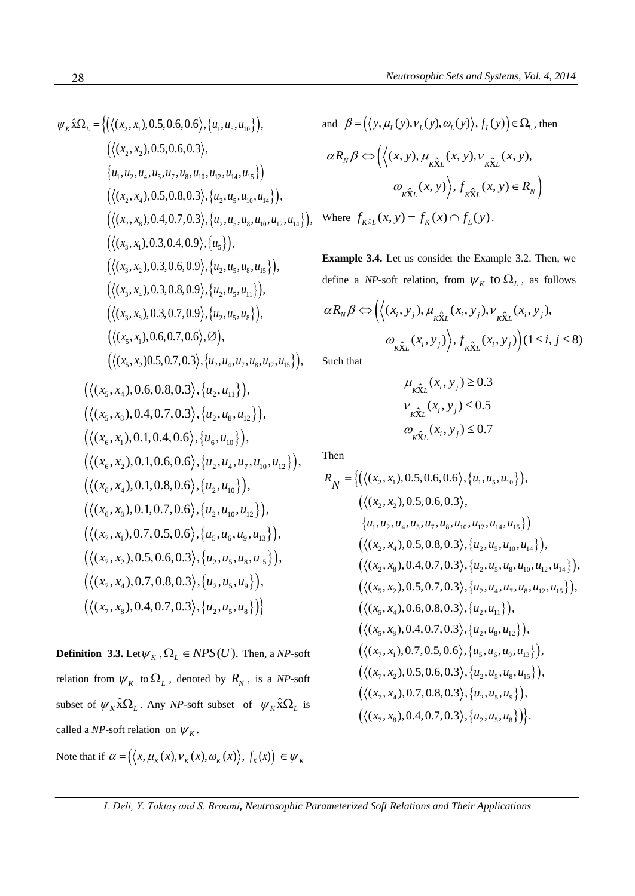$$
\psi_{k} \hat{x} \Omega_{L} = \{ ((\langle x_{2}, x_{1}), 0.5, 0.6, 0.6 \rangle, \{u_{1}, u_{5}, u_{10}\}) ,\n \langle \langle (x_{2}, x_{2}), 0.5, 0.6, 0.3 \rangle ,\n \{u_{1}, u_{2}, u_{4}, u_{5}, u_{7}, u_{8}, u_{10}, u_{12}, u_{14}, u_{15}\}) \right) \langle \langle (x_{2}, x_{4}), 0.5, 0.8, 0.3 \rangle, \{u_{2}, u_{5}, u_{10}, u_{14}\}) ,\n \langle \langle (x_{2}, x_{8}), 0.4, 0.7, 0.3 \rangle, \{u_{2}, u_{5}, u_{8}, u_{10}, u_{12}, u_{14}\}) ,\n \langle \langle (x_{3}, x_{1}), 0.3, 0.4, 0.9 \rangle, \{u_{2}, u_{5}, u_{8}, u_{15}\}) ,\n \langle \langle (x_{3}, x_{2}), 0.3, 0.6, 0.9 \rangle, \{u_{2}, u_{5}, u_{8}, u_{15}\}) ,\n \langle \langle (x_{3}, x_{4}), 0.3, 0.8, 0.9 \rangle, \{u_{2}, u_{5}, u_{8}\}) ,\n \langle \langle (x_{5}, x_{1}), 0.6, 0.7, 0.0 \rangle, \emptyset ),\n \langle \langle (x_{5}, x_{1}), 0.6, 0.7, 0.0 \rangle, \emptyset \rangle ,\n \langle \langle (x_{5}, x_{1}), 0.6, 0.7, 0.3 \rangle, \{u_{2}, u_{4}, u_{7}, u_{8}, u_{12}, u_{15}\} ,\n \langle \langle (x_{5}, x_{4}), 0.6, 0.8, 0.3 \rangle, \{u_{2}, u_{4}, u_{17}, u_{8}, u_{12}, u_{15}\} ,\n \langle \langle (x_{5}, x_{4}), 0.1, 0.4, 0.6 \rangle, \{u_{2}, u_{4}, u_{12}\} ,\n \langle \langle (x_{6}, x_{1}), 0.1, 0.6, 0.6 \rangle, \{u_{2}, u_{4}, u_{12}\} ,\n \langle \langle (x_{6}, x_{4}), 0.1, 0.8, 0.6 \rangle, \{u_{2}, u_{4}, u_{12}\}
$$

**Definition 3.3.** Let  $\psi_K$ ,  $\Omega_L \in NPS(U)$ . Then, a *NP*-soft relation from  $\psi_{K}$  to  $\Omega_{L}$ , denoted by  $R_{N}$ , is a *NP*-soft subset of  $\psi_K \hat{\Omega}_{L}$ . Any *NP*-soft subset of  $\psi_K \hat{\Omega}_{L}$  is called a *NP*-soft relation on  $\psi_K$ .

Note that if  $\alpha = (\langle x, \mu_K(x), v_K(x), \omega_K(x) \rangle, f_K(x)) \in \psi_K$ 

and 
$$
\beta = (\langle y, \mu_L(y), v_L(y), \omega_L(y) \rangle, f_L(y)) \in \Omega_L
$$
, then  
\n
$$
\alpha R_N \beta \Leftrightarrow (\langle (x, y), \mu_{K\hat{\mathbf{x}}L}(x, y), v_{K\hat{\mathbf{x}}L}(x, y),
$$
\n
$$
\omega_{K\hat{\mathbf{x}}L}(x, y) \rangle, f_{K\hat{\mathbf{x}}L}(x, y) \in R_N)
$$
\nWhere  $f_{K\hat{\mathbf{x}}L}(x, y) = f_K(x) \cap f_L(y)$ .

**Example 3.4.** Let us consider the Example 3.2. Then, we

define a *NP*-soft relation, from 
$$
\psi_K
$$
 to  $\Omega_L$ , as follows  
\n
$$
\alpha R_N \beta \Leftrightarrow \left( \langle (x_i, y_j), \mu_{\hat{K}} \hat{\chi}_L (x_i, y_j), \nu_{\hat{K}} \hat{\chi}_L (x_i, y_j), \right. \\
\left. \omega_{\hat{K}} \hat{\chi}_L (x_i, y_j) \right\rangle, f_{\hat{K}} \hat{\chi}_L (x_i, y_j) \Big) (1 \le i, j \le 8)
$$

Such that

$$
\mu_{\hat{\kappa} \hat{\chi}_L}(x_i, y_j) \ge 0.3
$$
  

$$
\nu_{\hat{\kappa} \hat{\chi}_L}(x_i, y_j) \le 0.5
$$
  

$$
\omega_{\hat{\kappa} \hat{\chi}_L}(x_i, y_j) \le 0.7
$$

Then

Then  
\n
$$
R_N = \left\{ \left( \langle (x_2, x_1), 0.5, 0.6, 0.6 \rangle, \{u_1, u_5, u_{10}\} \right), \right\}
$$
\n
$$
\left( \langle (x_2, x_2), 0.5, 0.6, 0.3 \rangle, \{u_1, u_2, u_4, u_5, u_7, u_8, u_{10}, u_{12}, u_{14}, u_{15}\} \right)
$$
\n
$$
\left( \langle (x_2, x_4), 0.5, 0.8, 0.3 \rangle, \{u_2, u_5, u_{10}, u_{14}\} \right), \left( \langle (x_2, x_8), 0.4, 0.7, 0.3 \rangle, \{u_2, u_5, u_8, u_{10}, u_{12}, u_{14}\} \right), \left( \langle (x_5, x_2), 0.5, 0.7, 0.3 \rangle, \{u_2, u_4, u_7, u_8, u_{12}, u_{15}\} \right), \left( \langle (x_5, x_4), 0.6, 0.8, 0.3 \rangle, \{u_2, u_{41}\} \right), \left( \langle (x_5, x_8), 0.4, 0.7, 0.3 \rangle, \{u_2, u_8, u_{12}\} \right), \left( \langle (x_7, x_1), 0.7, 0.5, 0.6 \rangle, \{u_5, u_6, u_9, u_{13}\} \right), \left( \langle (x_7, x_2), 0.5, 0.6, 0.3 \rangle, \{u_2, u_5, u_8, u_{15}\} \right), \left( \langle (x_7, x_2), 0.5, 0.6, 0.3 \rangle, \{u_2, u_5, u_8, u_{15}\} \right), \left( \langle (x_7, x_4), 0.7, 0.8, 0.3 \rangle, \{u_2, u_5, u_8, u_{15}\} \right), \left( \langle (x_7, x_8), 0.4, 0.7, 0.3 \rangle, \{u_2, u_5, u_8\} \right) \right\}.
$$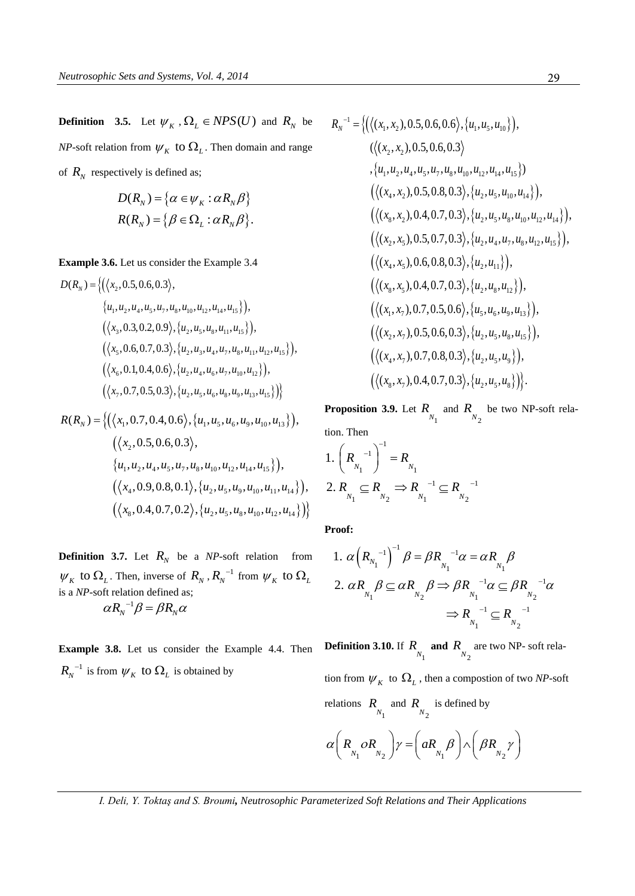**Definition** 3.5. Let  $\psi_K$ ,  $\Omega_L \in NPS(U)$  and  $R_N$  be *NP*-soft relation from  $\psi_{K}$  to  $\Omega_{L}$ . Then domain and range of  $R_N$  respectively is defined as;

$$
D(R_N) = \{ \alpha \in \psi_K : \alpha R_N \beta \}
$$
  

$$
R(R_N) = \{ \beta \in \Omega_L : \alpha R_N \beta \}.
$$

Example 3.6. Let us consider the Example 3.4  
\n
$$
D(R_N) = \{ (\langle x_2, 0.5, 0.6, 0.3 \rangle, \{u_1, u_2, u_3, u_4, u_5, u_7, u_8, u_{10}, u_{12}, u_{14}, u_{15} \} \}, \{ \langle x_3, 0.3, 0.2, 0.9 \rangle, \{u_2, u_5, u_8, u_{11}, u_{15} \} \}, \{ \langle x_5, 0.6, 0.7, 0.3 \rangle, \{u_2, u_3, u_4, u_7, u_8, u_{11}, u_{12}, u_{15} \} \}, \{ \langle x_6, 0.1, 0.4, 0.6 \rangle, \{u_2, u_4, u_6, u_7, u_{10}, u_{12} \} \}, \{ \langle x_7, 0.7, 0.5, 0.3 \rangle, \{u_2, u_5, u_6, u_8, u_9, u_{13}, u_{15} \} \} \}
$$
\n
$$
R(R_N) = \{ (\langle x_1, 0.7, 0.4, 0.6 \rangle, \{u_1, u_5, u_6, u_9, u_{10}, u_{13} \} \}, \}
$$

$$
R(R_N) = \left\{ (\langle x_1, 0.7, 0.4, 0.6 \rangle, \{u_1, u_5, u_6, u_9, u_{10}, u_{13}\} ),\right. \n(\langle x_2, 0.5, 0.6, 0.3 \rangle, \n\{u_1, u_2, u_4, u_5, u_7, u_8, u_{10}, u_{12}, u_{14}, u_{15}\} ),\n(\langle x_4, 0.9, 0.8, 0.1 \rangle, \{u_2, u_5, u_9, u_{10}, u_{11}, u_{14}\} ),\n(\langle x_8, 0.4, 0.7, 0.2 \rangle, \{u_2, u_5, u_8, u_{10}, u_{12}, u_{14}\} )\right\}
$$

**Definition 3.7.** Let  $R_N$  be a *NP*-soft relation from  $W_K$  to  $\Omega_L$ . Then, inverse of  $R_N$ ,  $R_N^{-1}$  from  $W_K$  to  $\Omega_L$ is a *NP*-soft relation defined as;  $\alpha R_N^{-1}\beta = \beta R_N \alpha$ 

**Example 3.8.** Let us consider the Example 4.4. Then  $R_N^{-1}$  is from  $\psi_K$  to  $\Omega_L$  is obtained by

$$
R_N^{-1} = \left\{ \left( \left\langle (x_1, x_2), 0.5, 0.6, 0.6 \right\rangle, \{u_1, u_5, u_{10} \} \right), \\ \left( \left\langle (x_2, x_2), 0.5, 0.6, 0.3 \right\rangle \right.\n\left. , \{u_1, u_2, u_4, u_5, u_7, u_8, u_{10}, u_{12}, u_{14}, u_{15} \} \right) \right\}\n \left( \left\langle (x_4, x_2), 0.5, 0.8, 0.3 \right\rangle, \{u_2, u_5, u_{10}, u_{14} \} \right), \\ \left( \left\langle (x_8, x_2), 0.4, 0.7, 0.3 \right\rangle, \{u_2, u_5, u_8, u_{10}, u_{12}, u_{14} \} \right), \\ \left( \left\langle (x_2, x_5), 0.5, 0.7, 0.3 \right\rangle, \{u_2, u_4, u_7, u_8, u_{12}, u_{15} \} \right), \\ \left( \left\langle (x_4, x_5), 0.6, 0.8, 0.3 \right\rangle, \{u_2, u_4, u_1 \} \right), \\ \left( \left\langle (x_8, x_5), 0.4, 0.7, 0.3 \right\rangle, \{u_2, u_8, u_{12} \} \right), \\ \left( \left\langle (x_1, x_7), 0.7, 0.5, 0.6 \right\rangle, \{u_5, u_6, u_9, u_{13} \} \right), \\ \left( \left\langle (x_2, x_7), 0.5, 0.6, 0.3 \right\rangle, \{u_2, u_5, u_8, u_{15} \} \right), \\ \left( \left\langle (x_4, x_7), 0.7, 0.8, 0.3 \right\rangle, \{u_2, u_5, u_8, u_{15} \} \right), \\ \left( \left\langle (x_4, x_7), 0.7, 0.8, 0.3 \right\rangle, \{u_2, u_5, u_8\} \right) \right\}.
$$

**Proposition 3.9.** Let  $R_{N_1}$  and  $R_{N_2}$  be two NP-soft relation. Then

1. 
$$
\left(R_{N_1}^{-1}\right)^{-1} = R_{N_1}
$$
  
2.  $R_{N_1} \subseteq R_{N_2} \Rightarrow R_{N_1}^{-1} \subseteq R_{N_2}^{-1}$ 

**Proof:** 

$$
\text{Proof:}
$$
\n
$$
1. \ \alpha \left(R_{N_1}^{-1}\right)^{-1} \beta = \beta R_{N_1}^{-1} \alpha = \alpha R_{N_1} \beta
$$
\n
$$
2. \ \alpha R_{N_1} \beta \subseteq \alpha R_{N_2} \beta \Rightarrow \beta R_{N_1}^{-1} \alpha \subseteq \beta R_{N_2}^{-1} \alpha
$$
\n
$$
\Rightarrow R_{N_1}^{-1} \subseteq R_{N_2}^{-1}
$$

**Definition 3.10.** If  $R_{N_1}$  and  $R_{N_2}$  are two NP- soft rela-

tion from  $\psi_{K}$  to  $\Omega_{L}$ , then a compostion of two *NP*-soft relations  $R_{N_1}$  and  $R_{N_2}$  is defined by

$$
\alpha \left(R_{N_1} \circ R_{N_2}\right) \gamma = \left(aR_{N_1} \beta\right) \wedge \left(\beta R_{N_2} \gamma\right)
$$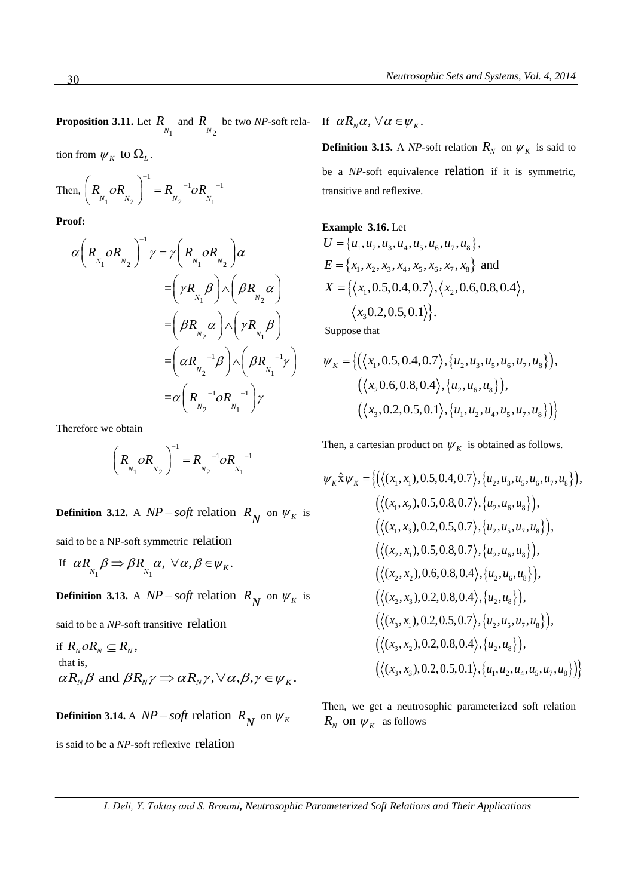**Proposition 3.11.** Let  $R_{N_1}$  and  $R_{N_2}$  be two *NP*-soft rela- If  $\alpha R_N \alpha$ ,  $\forall \alpha \in \psi_K$ .

tion from  $\psi_{K}$  to  $\Omega_{L}$ .

Then, 
$$
\left(R_{N_1} \circ R_{N_2}\right)^{-1} = R_{N_2}^{-1} \circ R_{N_1}^{-1}
$$

**Proof:** 

$$
\alpha \left(R_{_{N_1}} \circ R_{_{N_2}}\right)^{-1} \gamma = \gamma \left(R_{_{N_1}} \circ R_{_{N_2}}\right) \alpha
$$
  
\n
$$
= \left(\gamma R_{_{N_1}} \beta\right) \wedge \left(\beta R_{_{N_2}} \alpha\right)
$$
  
\n
$$
= \left(\beta R_{_{N_2}} \alpha\right) \wedge \left(\gamma R_{_{N_1}} \beta\right)
$$
  
\n
$$
= \left(\alpha R_{_{N_2}}^{-1} \beta\right) \wedge \left(\beta R_{_{N_1}}^{-1} \gamma\right)
$$
  
\n
$$
= \alpha \left(R_{_{N_2}}^{-1} \circ R_{_{N_1}}^{-1}\right) \gamma
$$

Therefore we obtain

$$
\left(R_{N_1} O R_{N_2}\right)^{-1} = R_{N_2}^{-1} O R_{N_1}^{-1}
$$

**Definition 3.12.** A  $NP - soft$  relation  $R_N$  on  $\psi_K$  is

said to be a NP-soft symmetric relation

If 
$$
\alpha R_{N_1} \beta \Rightarrow \beta R_{N_1} \alpha, \forall \alpha, \beta \in \psi_K
$$
.

**Definition 3.13.** A  $NP - soft$  relation  $R_N$  on  $\psi_K$  is

said to be a *NP*-soft transitive relation

if 
$$
R_N o R_N \subseteq R_N
$$
,  
that is,  
 $\alpha R_N \beta$  and  $\beta R_N \gamma \Rightarrow \alpha R_N \gamma$ ,  $\forall \alpha, \beta, \gamma \in \psi_K$ .

**Definition 3.14.** A  $NP - soft$  relation  $R_N$  on  $\psi_K$ 

is said to be a NP-soft reflexive relation

**Definition 3.15.** A *NP*-soft relation  $R_N$  on  $\psi_K$  is said to be a *NP*-soft equivalence relation if it is symmetric, transitive and reflexive.

Example 3.16. Let  
\n
$$
U = \{u_1, u_2, u_3, u_4, u_5, u_6, u_7, u_8\},
$$
\n
$$
E = \{x_1, x_2, x_3, x_4, x_5, x_6, x_7, x_8\} \text{ and }
$$
\n
$$
X = \{\langle x_1, 0.5, 0.4, 0.7 \rangle, \langle x_2, 0.6, 0.8, 0.4 \rangle, \langle x_3 0.2, 0.5, 0.1 \rangle\}.
$$

Suppose that

$$
\psi_K = \{ (\langle x_1, 0.5, 0.4, 0.7 \rangle, \{u_2, u_3, u_5, u_6, u_7, u_8\} ),
$$
  

$$
(\langle x_2 0.6, 0.8, 0.4 \rangle, \{u_2, u_6, u_8\} ),
$$
  

$$
(\langle x_3, 0.2, 0.5, 0.1 \rangle, \{u_1, u_2, u_4, u_5, u_7, u_8\} ) \}
$$

Then, a cartesian product on 
$$
\psi_K
$$
 is obtained as follows.  
\n
$$
\psi_K \hat{x} \psi_K = \{ (\langle (x_1, x_1), 0.5, 0.4, 0.7 \rangle, \{u_2, u_3, u_5, u_6, u_7, u_8\} ),\n\langle (\langle (x_1, x_2), 0.5, 0.8, 0.7 \rangle, \{u_2, u_6, u_8\} ),\n\langle (\langle (x_1, x_3), 0.2, 0.5, 0.7 \rangle, \{u_2, u_5, u_7, u_8\} ),\n\langle (\langle (x_2, x_1), 0.5, 0.8, 0.7 \rangle, \{u_2, u_6, u_8\} ),\n\langle (\langle (x_2, x_2), 0.6, 0.8, 0.4 \rangle, \{u_2, u_6, u_8\} ),\n\langle (\langle (x_2, x_3), 0.2, 0.8, 0.4 \rangle, \{u_2, u_8\} ),\n\langle (\langle (x_3, x_1), 0.2, 0.5, 0.7 \rangle, \{u_2, u_5, u_7, u_8\} ),\n\langle (\langle (x_3, x_2), 0.2, 0.8, 0.4 \rangle, \{u_2, u_8\} ),\n\langle (\langle (x_3, x_2), 0.2, 0.8, 0.4 \rangle, \{u_2, u_8\} ),\n\langle (\langle (x_3, x_3), 0.2, 0.5, 0.1 \rangle, \{u_1, u_2, u_4, u_5, u_7, u_8\} )\n\}
$$

Then, we get a neutrosophic parameterized soft relation  $R_N$  on  $\psi_K$  as follows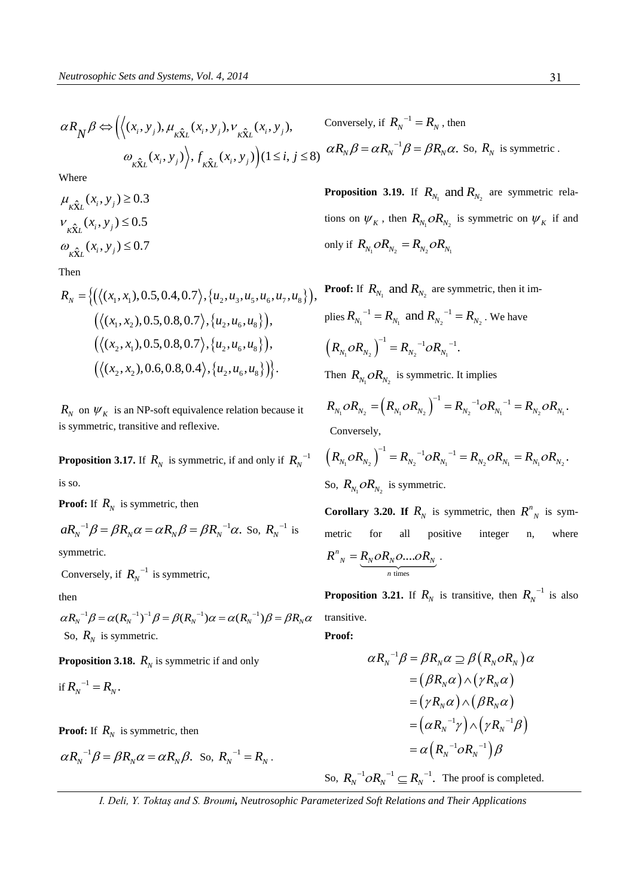$$
\alpha R_N \beta \Leftrightarrow \left( \left\langle (x_i, y_j), \mu_{K\hat{X}L}(x_i, y_j), \nu_{K\hat{X}L}(x_i, y_j), \right\rangle \right)
$$
Conversely, if  $R_N^{-1} = R_N$ , then  

$$
\omega_{K\hat{X}L}(x_i, y_j) \left\langle f_{K\hat{X}L}(x_i, y_j) \right\rangle (1 \le i, j \le 8) \quad \alpha R_N \beta = \alpha R_N^{-1} \beta = \beta R_N \alpha.
$$
 So,  $R_N$  is symmetric.

Where

$$
\mu_{\kappa \hat{\mathbf{x}}_L}(x_i, y_j) \ge 0.3
$$
  

$$
v_{\kappa \hat{\mathbf{x}}_L}(x_i, y_j) \le 0.5
$$
  

$$
\omega_{\kappa \hat{\mathbf{x}}_L}(x_i, y_j) \le 0.7
$$

Then

Then  
\n
$$
R_N = \{ (\langle (x_1, x_1), 0.5, 0.4, 0.7 \rangle, \{u_2, u_3, u_5, u_6, u_7, u_8\} ),
$$
\n
$$
(\langle (x_1, x_2), 0.5, 0.8, 0.7 \rangle, \{u_2, u_6, u_8\} ),
$$
\n
$$
(\langle (x_2, x_1), 0.5, 0.8, 0.7 \rangle, \{u_2, u_6, u_8\} ),
$$
\n
$$
(\langle (x_2, x_2), 0.6, 0.8, 0.4 \rangle, \{u_2, u_6, u_8\} ) \}.
$$

 $R_N$  on  $\psi_K$  is an NP-soft equivalence relation because it is symmetric, transitive and reflexive.

**Proposition 3.17.** If  $R_N$  is symmetric, if and only if  $R_N^{-1}$ is so.

**Proof:** If  $R_N$  is symmetric, then

$$
aR_N^{-1}\beta = \beta R_N \alpha = \alpha R_N \beta = \beta R_N^{-1} \alpha.
$$
 So,  $R_N^{-1}$  is

symmetric.

Conversely, if  $R_N^{-1}$  is symmetric,

then

 ${}^{1}B = \alpha (R_{v} {}^{-1})^{-1} \beta = \beta (R_{v} {}^{-1}) \alpha = \alpha (R_{v} {}^{-1})$ then  $\alpha R_N^{-1} \beta = \alpha (R_N^{-1})^{-1} \beta = \beta (R_N^{-1}) \alpha = \alpha (R_N^{-1}) \beta = \beta R_N \alpha$  transi So,  $R_N$  is symmetric.

**Proposition 3.18.**  $R_N$  is symmetric if and only

$$
\text{if } R_N^{-1} = R_N.
$$

**Proof:** If  $R_N$  is symmetric, then

$$
\alpha R_N^{-1} \beta = \beta R_N \alpha = \alpha R_N \beta.
$$
 So,  $R_N^{-1} = R_N$ .

**Proposition 3.19.** If  $R_{N_1}$  and  $R_{N_2}$  are symmetric relations on  $\psi_K$ , then  $R_{N_1}$  *o* $R_{N_2}$  is symmetric on  $\psi_K$  if and only if  $R_{N_1}$   $\partial R_{N_2} = R_{N_2}$   $\partial R_{N_1}$ 

**Proof:** If  $R_{N_1}$  and  $R_{N_2}$  are symmetric, then it implies  $R_{N_1}^{1}$ <sup>-1</sup> =  $R_{N_1}$  and  $R_{N_2}^{1}$ <sup>-1</sup> =  $R_{N_2}$ . We have  $\left(R_{N_1}oR_{N_2}\right)^{-1} = R_{N_2}^{\quad -1}oR_{N_1}$  $R_{N_1} \overline{OR}_{N_2} \big)^{-1} = R_{N_2}^{\quad -1} \overline{OR_{N_1}^{\quad -1}}.$ Then  $R_{N_1}$  *o* $R_{N_2}$  is symmetric. It implies

en  $R_{N_1}$   $OR_{N_2}$  is symmetric. It implies<br>  $R_{N_1}$   $OR_{N_2}$  =  $(R_{N_1}$   $OR_{N_2})^{-1}$  =  $R_{N_2}^{-1}$   $OR_{N_1}^{-1}$  =  $R_{N_2}$   $OR_{N_1}$  $1 = R_{11}^{-1} \rho R_{11}^{-1}$ Then  $R_{N_1}$ *CR*<sub> $N_2$ </sub> is symmetric. It implies<br> $R_{N_1}$ *OR*<sub> $N_2$ </sub> =  $(R_{N_1}$ *OR*<sub> $N_2$ </sub><sup>-1</sup> =  $R_{N_2}$ <sup>-1</sup> *OR*<sub> $N_1$ </sub><sup>-1</sup> =  $R_{N_2}$ *OR*<sub> $N_1$ </sub>.  $I^{-1} = R_{11}^{-1} \partial R_{11}^{-1} = I$  $A_{N_2}$  is symmetric. It implies<br>=  $(R_{N_1} \circ R_{N_2})^{-1} = R_{N_2}^{-1} \circ R_{N_1}^{-1} = R_{N_2} \circ R$  Conversely,  $K_{N_1}$ O $K_{N_2}$  -  $(K_{N_1}$ O $K_{N_2}$  ) -  $K_{N_2}$  O $K_{N_1}$  -  $K_{N_2}$ O $K_{N_1}$ <br>
Conversely,<br>  $(R_{N_1}$ O $R_{N_2})^{-1} = R_{N_2}^{-1}$ O $R_{N_1}^{-1} = R_{N_2}$ O $R_{N_1} = R_{N_1}$ O $R_{N_2}$ 

Conversely,  
\n
$$
(R_{N_1} \circ R_{N_2})^{-1} = R_{N_2}^{-1} \circ R_{N_1}^{-1} = R_{N_2} \circ R_{N_1} = R_{N_1} \circ R_{N_2}.
$$
\nSo,  $R_{N_1} \circ R_{N_2}$  is symmetric.

**Corollary 3.20. If**  $R_N$  is symmetric, then  $R_N^n$  is symmetric for all positive integer n, where times  $n_N^n = R_N O R_N O \dots O R_N$ *n*  $R^{n}_{N} = R_{N} \partial R_{N} \partial ... \partial R_{N}$ .

**Proposition 3.21.** If  $R_N$  is transitive, then  $R_N^{-1}$  is also transitive.

**Proof:** 

$$
\alpha R_N^{-1}\beta = \beta R_N \alpha \supseteq \beta (R_N o R_N) \alpha
$$
  
=  $(\beta R_N \alpha) \wedge (\gamma R_N \alpha)$   
=  $(\gamma R_N \alpha) \wedge (\beta R_N \alpha)$   
=  $(\alpha R_N^{-1}\gamma) \wedge (\gamma R_N^{-1}\beta)$   
=  $\alpha (R_N^{-1} o R_N^{-1}) \beta$ 

So,  $R_N^{-1} \subset R_N^{-1}$ . The proof is completed.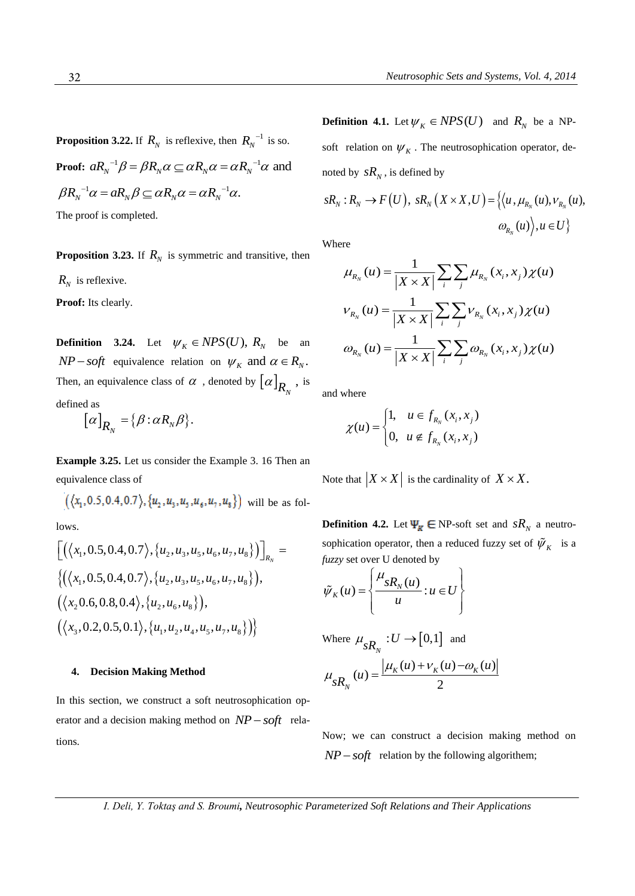**Proposition 3.22.** If  $R_N$  is reflexive, then  $R_N^{-1}$  is so.

**Proof:**  $aR_N^{-1}\beta = \beta R_N \alpha \subseteq \alpha R_N \alpha = \alpha R_N^{-1} \alpha$  and<br>  $\beta R^{-1}\alpha = aR \beta \subseteq \alpha R \alpha = \alpha R^{-1} \alpha$  $\beta R_N^{-1} \alpha = aR_N \beta \subseteq \alpha R_N \alpha = \alpha R_N^{-1} \alpha.$ The proof is completed.

**Proposition 3.23.** If  $R_N$  is symmetric and transitive, then

 $R_N$  is reflexive.

Proof: Its clearly.

**Definition** 3.24. Let  $\psi_K \in NPS(U)$ ,  $R_N$  be an  $NP - soft$  equivalence relation on  $\psi_K$  and  $\alpha \in R_N$ . Then, an equivalence class of  $\alpha$ , denoted by  $[\alpha]_{R_N}$ , is defined as

 $[\alpha]_{R_{_N}} = {\beta : \alpha R_{_N} \beta}.$  $\alpha$ <sub>*R*<sup>*N*</sup></sub> = { $\beta$  :  $\alpha$ *R*<sub>*N*</sub> $\beta$ }.

**Example 3.25.** Let us consider the Example 3. 16 Then an equivalence class of

$$
((x_1, 0.5, 0.4, 0.7), \{u_2, u_3, u_5, u_6, u_7, u_8\})
$$
 will be as fol-

lows.

lows.  
\n
$$
\left[ \left( \langle x_1, 0.5, 0.4, 0.7 \rangle, \{u_2, u_3, u_5, u_6, u_7, u_8\} \rangle \right]_{R_N} = \left\{ \left( \langle x_1, 0.5, 0.4, 0.7 \rangle, \{u_2, u_3, u_5, u_6, u_7, u_8\} \rangle \right), \left( \langle x_2, 0.6, 0.8, 0.4 \rangle, \{u_2, u_6, u_8\} \rangle \right), \left( \langle x_3, 0.2, 0.5, 0.1 \rangle, \{u_1, u_2, u_4, u_5, u_7, u_8\} \rangle \right) \right\}
$$

#### **4. Decision Making Method**

In this section, we construct a soft neutrosophication operator and a decision making method on  $NP - soft$  relations.

**Definition 4.1.** Let  $\psi_K \in NPS(U)$  and  $R_N$  be a NPsoft relation on  $\psi_K$ . The neutrosophication operator, deis defined by<br>  $(U)$ ,  $sR_N(X \times X, U) = \{ \langle u, \mu_{R_N}(u) \rangle : \forall u \in W \}$ 

noted by 
$$
sR_N
$$
, is defined by  
\n
$$
sR_N: R_N \to F(U), \ sR_N(X \times X, U) = \{ \langle u, \mu_{R_N}(u), v_{R_N}(u), \sigma_{R_N}(u) \rangle, u \in U \}
$$

Where

ere  
\n
$$
\mu_{R_N}(u) = \frac{1}{|X \times X|} \sum_i \sum_j \mu_{R_N}(x_i, x_j) \chi(u)
$$
\n
$$
\nu_{R_N}(u) = \frac{1}{|X \times X|} \sum_i \sum_j \nu_{R_N}(x_i, x_j) \chi(u)
$$
\n
$$
\omega_{R_N}(u) = \frac{1}{|X \times X|} \sum_i \sum_j \omega_{R_N}(x_i, x_j) \chi(u)
$$

and where

$$
\chi(u) = \begin{cases} 1, & u \in f_{R_N}(x_i, x_j) \\ 0, & u \notin f_{R_N}(x_i, x_j) \end{cases}
$$

Note that  $|X \times X|$  is the cardinality of  $X \times X$ .

**Definition 4.2.** Let  $\Psi_{\mathcal{R}} \in NP$ -soft set and  $sR_N$  a neutrosophication operator, then a reduced fuzzy set of  $\tilde{\psi}_K$  is a

*fuzzy* set over U denoted by  
\n
$$
\tilde{\psi}_K(u) = \left\{ \frac{\mu_{sR_N}(u)}{u} : u \in U \right\}
$$

Where 
$$
\mu_{sR_N}: U \to [0,1]
$$
 and  

$$
\mu_{sR_N}(u) = \frac{|\mu_K(u) + \nu_K(u) - \omega_K(u)|}{2}
$$

Now; we can construct a decision making method on  $NP - soft$  relation by the following algorithem;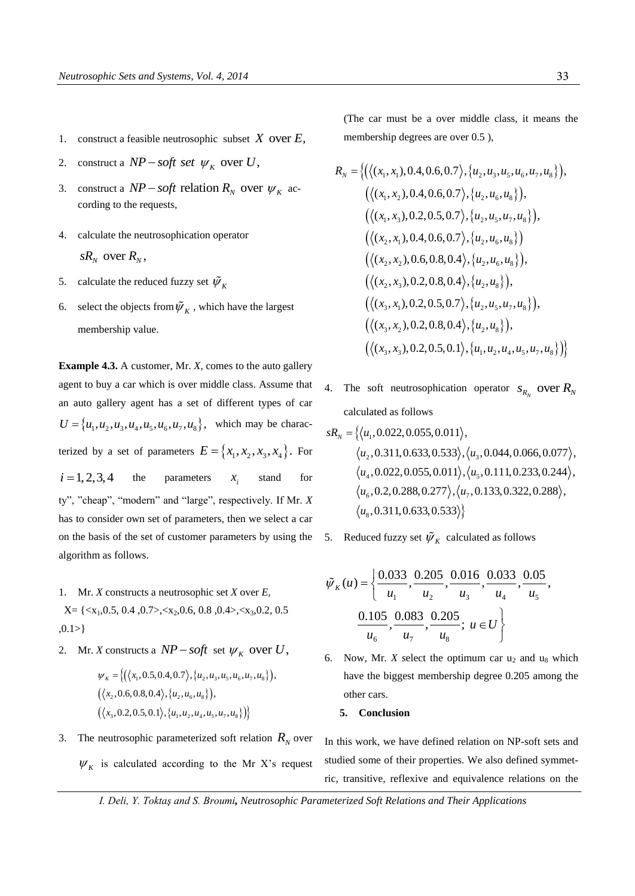- 1. construct a feasible neutrosophic subset  $X$  over  $E$ ,
- 2. construct a  $NP soft$  *set*  $\psi_K$  over U,
- 3. construct a  $NP soft$  relation  $R_N$  over  $\psi_K$  according to the requests,
- 4. calculate the neutrosophication operator  $sR_{N}$  over  $R_{N}$ ,
- 5. calculate the reduced fuzzy set  $\tilde{\psi}_k$
- 6. select the objects from  $\tilde{\psi}_K$ , which have the largest membership value.

**Example 4.3.** A customer, Mr. *X,* comes to the auto gallery agent to buy a car which is over middle class. Assume that an auto gallery agent has a set of different types of car  $U = \{u_1, u_2, u_3, u_4, u_5, u_6, u_7, u_8\},$  which may be characterized by a set of parameters  $E = \{x_1, x_2, x_3, x_4\}$ . For  $i = 1, 2, 3, 4$  the parameters *i x* stand for ty", "cheap", "modern" and "large", respectively. If Mr. *X* has to consider own set of parameters, then we select a car on the basis of the set of customer parameters by using the algorithm as follows.

- 1. Mr. *X* constructs a neutrosophic set *X* over *E,*  $X = \{ \langle x_1, 0.5, 0.4, 0.7 \rangle, \langle x_2, 0.6, 0.8, 0.4 \rangle, \langle x_3, 0.2, 0.5, 0.4 \rangle \}$  $, 0.1 > \}$
- 2. Mr. *X* constructs a  $NP soft$  set  $\psi_K$  over U,

$$
\psi_K = \{ (\langle x_1, 0.5, 0.4, 0.7 \rangle, \{u_2, u_3, u_5, u_6, u_7, u_8\} ),
$$
  

$$
(\langle x_2, 0.6, 0.8, 0.4 \rangle, \{u_2, u_6, u_8\} ),
$$
  

$$
(\langle x_3, 0.2, 0.5, 0.1 \rangle, \{u_1, u_2, u_4, u_5, u_7, u_8\} ) \}
$$

3. The neutrosophic parameterized soft relation  $R_N$  over  $W_K$  is calculated according to the Mr X's request (The car must be a over middle class, it means the membership degrees are over 0.5 ),

$$
R_{N} = \{ (\langle (x_{1}, x_{1}), 0.4, 0.6, 0.7 \rangle, \{u_{2}, u_{3}, u_{5}, u_{6}, u_{7}, u_{8}\} ),\n\langle (\langle (x_{1}, x_{2}), 0.4, 0.6, 0.7 \rangle, \{u_{2}, u_{6}, u_{8}\} ),\n\langle (\langle (x_{1}, x_{3}), 0.2, 0.5, 0.7 \rangle, \{u_{2}, u_{5}, u_{7}, u_{8}\} ),\n\langle (\langle (x_{2}, x_{1}), 0.4, 0.6, 0.7 \rangle, \{u_{2}, u_{6}, u_{8}\} )\n\langle (\langle (x_{2}, x_{2}), 0.6, 0.8, 0.4 \rangle, \{u_{2}, u_{6}, u_{8}\} ),\n\langle (\langle (x_{2}, x_{3}), 0.2, 0.8, 0.4 \rangle, \{u_{2}, u_{8}\} ),\n\langle (\langle (x_{3}, x_{1}), 0.2, 0.5, 0.7 \rangle, \{u_{2}, u_{5}, u_{7}, u_{8}\} ),\n\langle (\langle x_{3}, x_{2}), 0.2, 0.8, 0.4 \rangle, \{u_{2}, u_{8}\} ),\n\langle (\langle x_{3}, x_{2}), 0.2, 0.8, 0.4 \rangle, \{u_{2}, u_{8}\} ),\n\langle (\langle x_{3}, x_{3}), 0.2, 0.5, 0.1 \rangle, \{u_{1}, u_{2}, u_{4}, u_{5}, u_{7}, u_{8}\} )\n\}
$$

4. The soft neutrosophication operator  $S_{R_N}$  over  $R_N$ 

calculated as follows  
\n
$$
sR_N = \{ \langle u_1, 0.022, 0.055, 0.011 \rangle, \\ \langle u_2, 0.311, 0.633, 0.533 \rangle, \langle u_3, 0.044, 0.066, 0.077 \rangle, \\ \langle u_4, 0.022, 0.055, 0.011 \rangle, \langle u_5, 0.111, 0.233, 0.244 \rangle, \\ \langle u_6, 0.2, 0.288, 0.277 \rangle, \langle u_7, 0.133, 0.322, 0.288 \rangle, \\ \langle u_8, 0.311, 0.633, 0.533 \rangle \}
$$

5. Reduced fuzzy set  $\tilde{\psi}_K$  calculated as follows

$$
\tilde{\psi}_{K}(u) = \left\{ \frac{0.033}{u_{1}}, \frac{0.205}{u_{2}}, \frac{0.016}{u_{3}}, \frac{0.033}{u_{4}}, \frac{0.05}{u_{5}}, \frac{0.105}{u_{6}}, \frac{0.083}{u_{7}}, \frac{0.205}{u_{8}}, u \in U \right\}
$$

6. Now, Mr. *X* select the optimum car  $u_2$  and  $u_8$  which have the biggest membership degree 0.205 among the other cars.

### **5. Conclusion**

In this work, we have defined relation on NP-soft sets and studied some of their properties. We also defined symmetric, transitive, reflexive and equivalence relations on the

*I. Deli, Y. Toktaş and S. Broumi, Neutrosophic Parameterized Soft Relations and Their Applications*